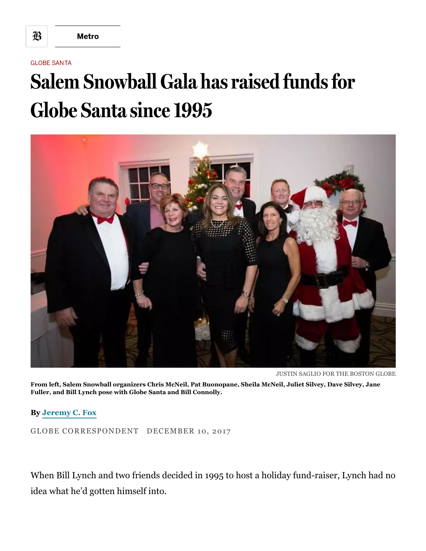## GLOBE SANTA

## Salem Snowball Gala has raised funds for Globe Santa since 1995



JUSTIN SAGLIO FOR THE BOSTON GLOBE

From left, Salem Snowball organizers Chris McNeil, Pat Buonopane, Sheila McNeil, Juliet Silvey, Dave Silvey, Jane Fuller, and Bill Lynch pose with Globe Santa and Bill Connolly.

By [Jeremy](https://www.bostonglobe.com/staff/fox) C. Fox

GLOBE CORRESPONDENT DECEMBER 10, 2017

When Bill Lynch and two friends decided in 1995 to host a holiday fund-raiser, Lynch had no idea what he'd gotten himself into.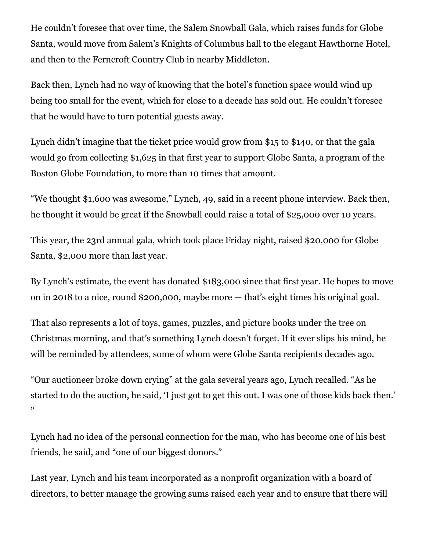He couldn't foresee that over time, the Salem Snowball Gala, which raises funds for Globe Santa, would move from Salem's Knights of Columbus hall to the elegant Hawthorne Hotel, and then to the Ferncroft Country Club in nearby Middleton.

Back then, Lynch had no way of knowing that the hotel's function space would wind up being too small for the event, which for close to a decade has sold out. He couldn't foresee that he would have to turn potential guests away.

Lynch didn't imagine that the ticket price would grow from \$15 to \$140, or that the gala would go from collecting \$1,625 in that first year to support Globe Santa, a program of the Boston Globe Foundation, to more than 10 times that amount.

"We thought \$1,600 was awesome," Lynch, 49, said in a recent phone interview. Back then, he thought it would be great if the Snowball could raise a total of \$25,000 over 10 years.

This year, the 23rd annual gala, which took place Friday night, raised \$20,000 for Globe Santa, \$2,000 more than last year.

By Lynch's estimate, the event has donated \$183,000 since that first year. He hopes to move on in 2018 to a nice, round \$200,000, maybe more — that's eight times his original goal.

That also represents a lot of toys, games, puzzles, and picture books under the tree on Christmas morning, and that's something Lynch doesn't forget. If it ever slips his mind, he will be reminded by attendees, some of whom were Globe Santa recipients decades ago.

"Our auctioneer broke down crying" at the gala several years ago, Lynch recalled. "As he started to do the auction, he said, 'I just got to get this out. I was one of those kids back then.' "

Lynch had no idea of the personal connection for the man, who has become one of his best friends, he said, and "one of our biggest donors."

Last year, Lynch and his team incorporated as a nonprofit organization with a board of directors, to better manage the growing sums raised each year and to ensure that there will